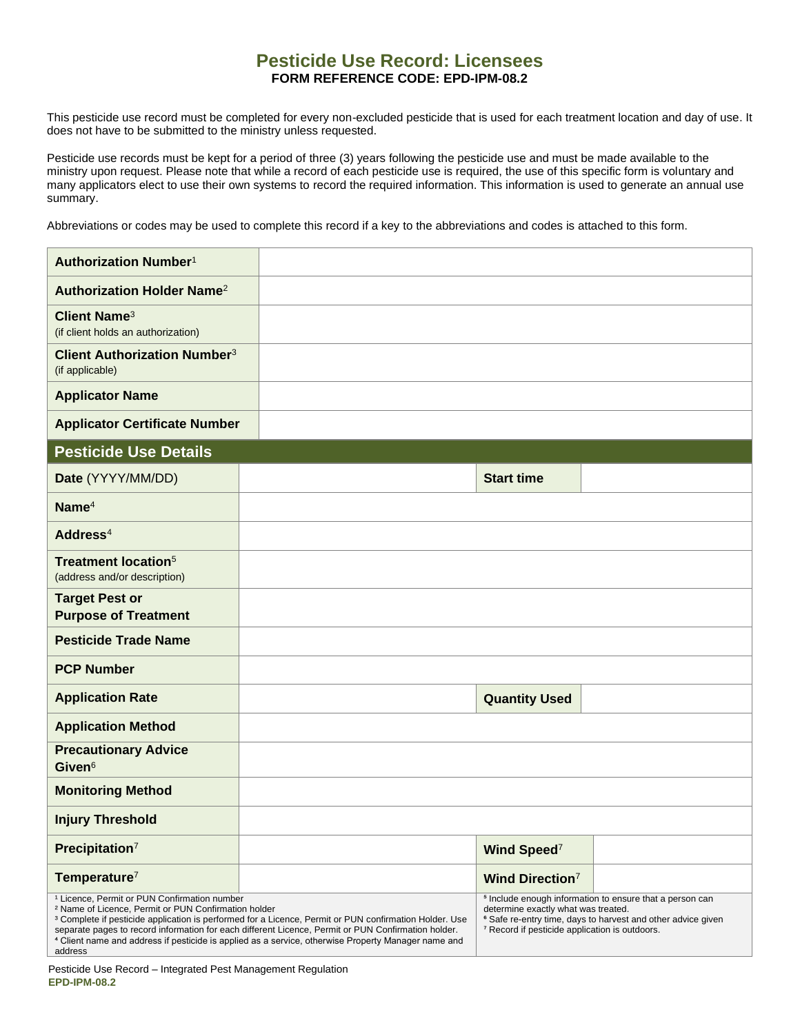## **Pesticide Use Record: Licensees FORM REFERENCE CODE: EPD-IPM-08.2**

This pesticide use record must be completed for every non-excluded pesticide that is used for each treatment location and day of use. It does not have to be submitted to the ministry unless requested.

Pesticide use records must be kept for a period of three (3) years following the pesticide use and must be made available to the ministry upon request. Please note that while a record of each pesticide use is required, the use of this specific form is voluntary and many applicators elect to use their own systems to record the required information. This information is used to generate an annual use summary.

Abbreviations or codes may be used to complete this record if a key to the abbreviations and codes is attached to this form.

| Authorization Number <sup>1</sup>                                                                                                                                                                                                                                                                                                                                                                                                                                                   |  |                                                                                                                                                                                                                                                    |  |
|-------------------------------------------------------------------------------------------------------------------------------------------------------------------------------------------------------------------------------------------------------------------------------------------------------------------------------------------------------------------------------------------------------------------------------------------------------------------------------------|--|----------------------------------------------------------------------------------------------------------------------------------------------------------------------------------------------------------------------------------------------------|--|
| Authorization Holder Name <sup>2</sup>                                                                                                                                                                                                                                                                                                                                                                                                                                              |  |                                                                                                                                                                                                                                                    |  |
| <b>Client Name<sup>3</sup></b><br>(if client holds an authorization)                                                                                                                                                                                                                                                                                                                                                                                                                |  |                                                                                                                                                                                                                                                    |  |
| <b>Client Authorization Number<sup>3</sup></b><br>(if applicable)                                                                                                                                                                                                                                                                                                                                                                                                                   |  |                                                                                                                                                                                                                                                    |  |
| <b>Applicator Name</b>                                                                                                                                                                                                                                                                                                                                                                                                                                                              |  |                                                                                                                                                                                                                                                    |  |
| <b>Applicator Certificate Number</b>                                                                                                                                                                                                                                                                                                                                                                                                                                                |  |                                                                                                                                                                                                                                                    |  |
| <b>Pesticide Use Details</b>                                                                                                                                                                                                                                                                                                                                                                                                                                                        |  |                                                                                                                                                                                                                                                    |  |
| Date (YYYY/MM/DD)                                                                                                                                                                                                                                                                                                                                                                                                                                                                   |  | <b>Start time</b>                                                                                                                                                                                                                                  |  |
| Name <sup>4</sup>                                                                                                                                                                                                                                                                                                                                                                                                                                                                   |  |                                                                                                                                                                                                                                                    |  |
| Address <sup>4</sup>                                                                                                                                                                                                                                                                                                                                                                                                                                                                |  |                                                                                                                                                                                                                                                    |  |
| <b>Treatment location<sup>5</sup></b><br>(address and/or description)                                                                                                                                                                                                                                                                                                                                                                                                               |  |                                                                                                                                                                                                                                                    |  |
| <b>Target Pest or</b><br><b>Purpose of Treatment</b>                                                                                                                                                                                                                                                                                                                                                                                                                                |  |                                                                                                                                                                                                                                                    |  |
| <b>Pesticide Trade Name</b>                                                                                                                                                                                                                                                                                                                                                                                                                                                         |  |                                                                                                                                                                                                                                                    |  |
| <b>PCP Number</b>                                                                                                                                                                                                                                                                                                                                                                                                                                                                   |  |                                                                                                                                                                                                                                                    |  |
| <b>Application Rate</b>                                                                                                                                                                                                                                                                                                                                                                                                                                                             |  | <b>Quantity Used</b>                                                                                                                                                                                                                               |  |
| <b>Application Method</b>                                                                                                                                                                                                                                                                                                                                                                                                                                                           |  |                                                                                                                                                                                                                                                    |  |
| <b>Precautionary Advice</b><br>Given <sup>6</sup>                                                                                                                                                                                                                                                                                                                                                                                                                                   |  |                                                                                                                                                                                                                                                    |  |
| <b>Monitoring Method</b>                                                                                                                                                                                                                                                                                                                                                                                                                                                            |  |                                                                                                                                                                                                                                                    |  |
| <b>Injury Threshold</b>                                                                                                                                                                                                                                                                                                                                                                                                                                                             |  |                                                                                                                                                                                                                                                    |  |
| Precipitation <sup>7</sup>                                                                                                                                                                                                                                                                                                                                                                                                                                                          |  | Wind Speed <sup>7</sup>                                                                                                                                                                                                                            |  |
| Temperature <sup>7</sup>                                                                                                                                                                                                                                                                                                                                                                                                                                                            |  | <b>Wind Direction<sup>7</sup></b>                                                                                                                                                                                                                  |  |
| <sup>1</sup> Licence, Permit or PUN Confirmation number<br><sup>2</sup> Name of Licence, Permit or PUN Confirmation holder<br><sup>3</sup> Complete if pesticide application is performed for a Licence, Permit or PUN confirmation Holder. Use<br>separate pages to record information for each different Licence, Permit or PUN Confirmation holder.<br><sup>4</sup> Client name and address if pesticide is applied as a service, otherwise Property Manager name and<br>address |  | <sup>5</sup> Include enough information to ensure that a person can<br>determine exactly what was treated.<br><sup>6</sup> Safe re-entry time, days to harvest and other advice given<br><sup>7</sup> Record if pesticide application is outdoors. |  |

Pesticide Use Record – Integrated Pest Management Regulation **EPD-IPM-08.2**